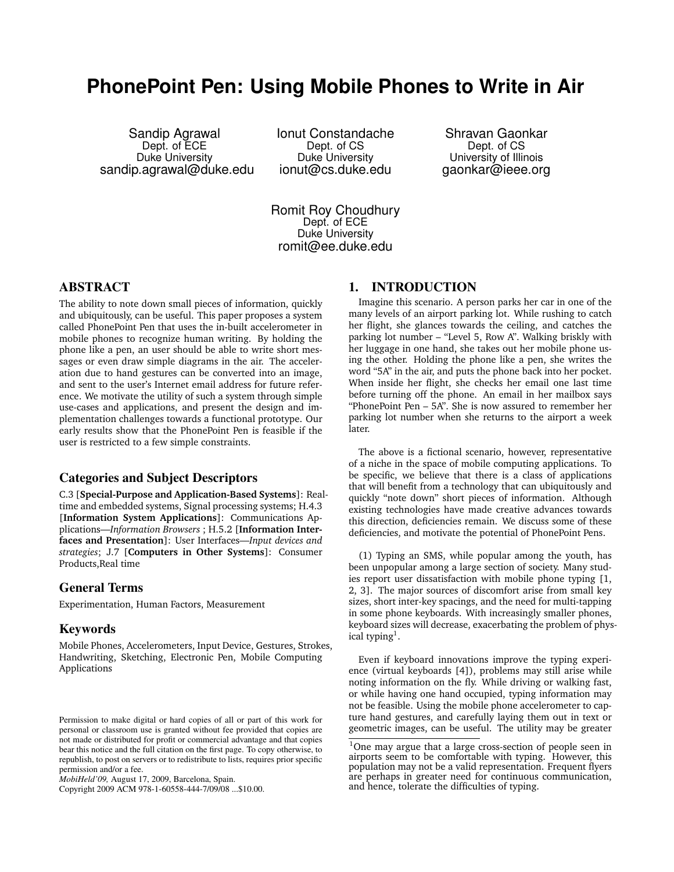# **PhonePoint Pen: Using Mobile Phones to Write in Air**

Sandip Agrawal Dept. of ECE Duke University sandip.agrawal@duke.edu Ionut Constandache Dept. of CS Duke University ionut@cs.duke.edu

Shravan Gaonkar Dept. of CS University of Illinois gaonkar@ieee.org

Romit Roy Choudhury Dept. of ECE Duke University romit@ee.duke.edu

# ABSTRACT

The ability to note down small pieces of information, quickly and ubiquitously, can be useful. This paper proposes a system called PhonePoint Pen that uses the in-built accelerometer in mobile phones to recognize human writing. By holding the phone like a pen, an user should be able to write short messages or even draw simple diagrams in the air. The acceleration due to hand gestures can be converted into an image, and sent to the user's Internet email address for future reference. We motivate the utility of such a system through simple use-cases and applications, and present the design and implementation challenges towards a functional prototype. Our early results show that the PhonePoint Pen is feasible if the user is restricted to a few simple constraints.

## Categories and Subject Descriptors

C.3 [**Special-Purpose and Application-Based Systems**]: Realtime and embedded systems, Signal processing systems; H.4.3 [**Information System Applications**]: Communications Applications—*Information Browsers* ; H.5.2 [**Information Interfaces and Presentation**]: User Interfaces—*Input devices and strategies*; J.7 [**Computers in Other Systems**]: Consumer Products,Real time

#### General Terms

Experimentation, Human Factors, Measurement

#### Keywords

Mobile Phones, Accelerometers, Input Device, Gestures, Strokes, Handwriting, Sketching, Electronic Pen, Mobile Computing Applications

Copyright 2009 ACM 978-1-60558-444-7/09/08 ...\$10.00.

#### 1. INTRODUCTION

Imagine this scenario. A person parks her car in one of the many levels of an airport parking lot. While rushing to catch her flight, she glances towards the ceiling, and catches the parking lot number – "Level 5, Row A". Walking briskly with her luggage in one hand, she takes out her mobile phone using the other. Holding the phone like a pen, she writes the word "5A" in the air, and puts the phone back into her pocket. When inside her flight, she checks her email one last time before turning off the phone. An email in her mailbox says "PhonePoint Pen – 5A". She is now assured to remember her parking lot number when she returns to the airport a week later.

The above is a fictional scenario, however, representative of a niche in the space of mobile computing applications. To be specific, we believe that there is a class of applications that will benefit from a technology that can ubiquitously and quickly "note down" short pieces of information. Although existing technologies have made creative advances towards this direction, deficiencies remain. We discuss some of these deficiencies, and motivate the potential of PhonePoint Pens.

(1) Typing an SMS, while popular among the youth, has been unpopular among a large section of society. Many studies report user dissatisfaction with mobile phone typing [1, 2, 3]. The major sources of discomfort arise from small key sizes, short inter-key spacings, and the need for multi-tapping in some phone keyboards. With increasingly smaller phones, keyboard sizes will decrease, exacerbating the problem of physical typing<sup>1</sup>.

Even if keyboard innovations improve the typing experience (virtual keyboards [4]), problems may still arise while noting information on the fly. While driving or walking fast, or while having one hand occupied, typing information may not be feasible. Using the mobile phone accelerometer to capture hand gestures, and carefully laying them out in text or geometric images, can be useful. The utility may be greater

Permission to make digital or hard copies of all or part of this work for personal or classroom use is granted without fee provided that copies are not made or distributed for profit or commercial advantage and that copies bear this notice and the full citation on the first page. To copy otherwise, to republish, to post on servers or to redistribute to lists, requires prior specific permission and/or a fee.

*MobiHeld'09,* August 17, 2009, Barcelona, Spain.

<sup>&</sup>lt;sup>1</sup>One may argue that a large cross-section of people seen in airports seem to be comfortable with typing. However, this population may not be a valid representation. Frequent flyers are perhaps in greater need for continuous communication, and hence, tolerate the difficulties of typing.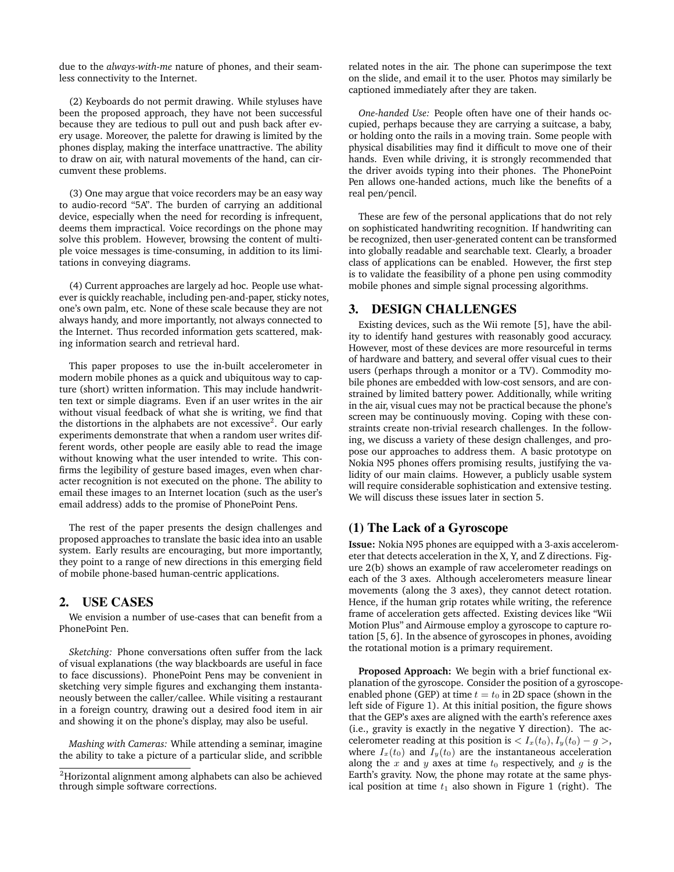due to the *always-with-me* nature of phones, and their seamless connectivity to the Internet.

(2) Keyboards do not permit drawing. While styluses have been the proposed approach, they have not been successful because they are tedious to pull out and push back after every usage. Moreover, the palette for drawing is limited by the phones display, making the interface unattractive. The ability to draw on air, with natural movements of the hand, can circumvent these problems.

(3) One may argue that voice recorders may be an easy way to audio-record "5A". The burden of carrying an additional device, especially when the need for recording is infrequent, deems them impractical. Voice recordings on the phone may solve this problem. However, browsing the content of multiple voice messages is time-consuming, in addition to its limitations in conveying diagrams.

(4) Current approaches are largely ad hoc. People use whatever is quickly reachable, including pen-and-paper, sticky notes, one's own palm, etc. None of these scale because they are not always handy, and more importantly, not always connected to the Internet. Thus recorded information gets scattered, making information search and retrieval hard.

This paper proposes to use the in-built accelerometer in modern mobile phones as a quick and ubiquitous way to capture (short) written information. This may include handwritten text or simple diagrams. Even if an user writes in the air without visual feedback of what she is writing, we find that the distortions in the alphabets are not excessive<sup>2</sup>. Our early experiments demonstrate that when a random user writes different words, other people are easily able to read the image without knowing what the user intended to write. This confirms the legibility of gesture based images, even when character recognition is not executed on the phone. The ability to email these images to an Internet location (such as the user's email address) adds to the promise of PhonePoint Pens.

The rest of the paper presents the design challenges and proposed approaches to translate the basic idea into an usable system. Early results are encouraging, but more importantly, they point to a range of new directions in this emerging field of mobile phone-based human-centric applications.

#### 2. USE CASES

We envision a number of use-cases that can benefit from a PhonePoint Pen.

*Sketching:* Phone conversations often suffer from the lack of visual explanations (the way blackboards are useful in face to face discussions). PhonePoint Pens may be convenient in sketching very simple figures and exchanging them instantaneously between the caller/callee. While visiting a restaurant in a foreign country, drawing out a desired food item in air and showing it on the phone's display, may also be useful.

*Mashing with Cameras:* While attending a seminar, imagine the ability to take a picture of a particular slide, and scribble related notes in the air. The phone can superimpose the text on the slide, and email it to the user. Photos may similarly be captioned immediately after they are taken.

*One-handed Use:* People often have one of their hands occupied, perhaps because they are carrying a suitcase, a baby, or holding onto the rails in a moving train. Some people with physical disabilities may find it difficult to move one of their hands. Even while driving, it is strongly recommended that the driver avoids typing into their phones. The PhonePoint Pen allows one-handed actions, much like the benefits of a real pen/pencil.

These are few of the personal applications that do not rely on sophisticated handwriting recognition. If handwriting can be recognized, then user-generated content can be transformed into globally readable and searchable text. Clearly, a broader class of applications can be enabled. However, the first step is to validate the feasibility of a phone pen using commodity mobile phones and simple signal processing algorithms.

## 3. DESIGN CHALLENGES

Existing devices, such as the Wii remote [5], have the ability to identify hand gestures with reasonably good accuracy. However, most of these devices are more resourceful in terms of hardware and battery, and several offer visual cues to their users (perhaps through a monitor or a TV). Commodity mobile phones are embedded with low-cost sensors, and are constrained by limited battery power. Additionally, while writing in the air, visual cues may not be practical because the phone's screen may be continuously moving. Coping with these constraints create non-trivial research challenges. In the following, we discuss a variety of these design challenges, and propose our approaches to address them. A basic prototype on Nokia N95 phones offers promising results, justifying the validity of our main claims. However, a publicly usable system will require considerable sophistication and extensive testing. We will discuss these issues later in section 5.

#### (1) The Lack of a Gyroscope

**Issue:** Nokia N95 phones are equipped with a 3-axis accelerometer that detects acceleration in the X, Y, and Z directions. Figure 2(b) shows an example of raw accelerometer readings on each of the 3 axes. Although accelerometers measure linear movements (along the 3 axes), they cannot detect rotation. Hence, if the human grip rotates while writing, the reference frame of acceleration gets affected. Existing devices like "Wii Motion Plus" and Airmouse employ a gyroscope to capture rotation [5, 6]. In the absence of gyroscopes in phones, avoiding the rotational motion is a primary requirement.

**Proposed Approach:** We begin with a brief functional explanation of the gyroscope. Consider the position of a gyroscopeenabled phone (GEP) at time  $t = t_0$  in 2D space (shown in the left side of Figure 1). At this initial position, the figure shows that the GEP's axes are aligned with the earth's reference axes (i.e., gravity is exactly in the negative Y direction). The accelerometer reading at this position is  $\langle I_x(t_0), I_y(t_0) - g \rangle$ , where  $I_x(t_0)$  and  $I_y(t_0)$  are the instantaneous acceleration along the  $x$  and  $y$  axes at time  $t_0$  respectively, and  $g$  is the Earth's gravity. Now, the phone may rotate at the same physical position at time  $t_1$  also shown in Figure 1 (right). The

<sup>2</sup>Horizontal alignment among alphabets can also be achieved through simple software corrections.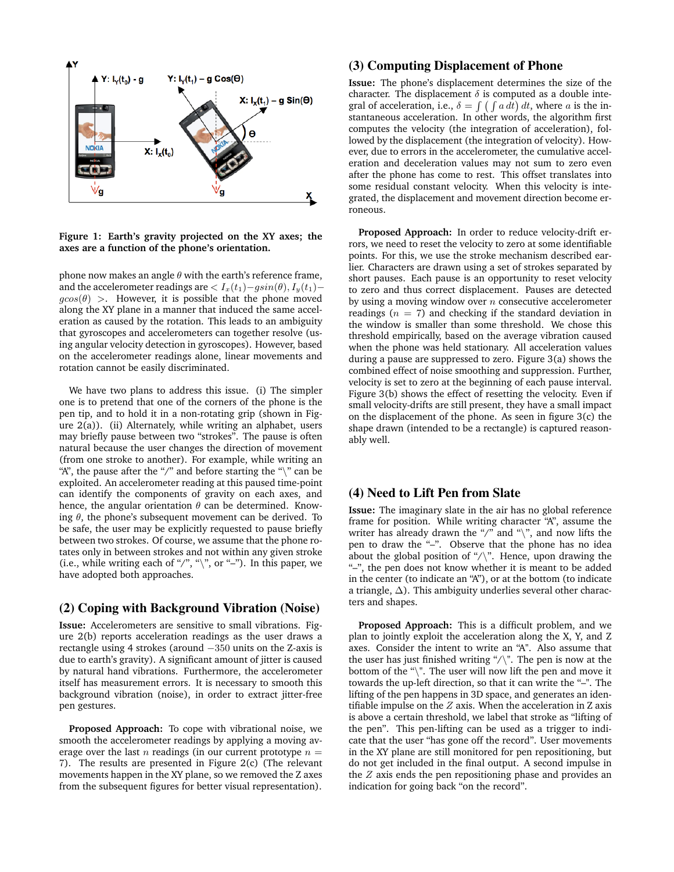

**Figure 1: Earth's gravity projected on the XY axes; the axes are a function of the phone's orientation.**

phone now makes an angle  $\theta$  with the earth's reference frame, and the accelerometer readings are  $\langle I_x(t_1) - g\sin(\theta), I_y(t_1)$  $g\cos(\theta)$  >. However, it is possible that the phone moved along the XY plane in a manner that induced the same acceleration as caused by the rotation. This leads to an ambiguity that gyroscopes and accelerometers can together resolve (using angular velocity detection in gyroscopes). However, based on the accelerometer readings alone, linear movements and rotation cannot be easily discriminated.

We have two plans to address this issue. (i) The simpler one is to pretend that one of the corners of the phone is the pen tip, and to hold it in a non-rotating grip (shown in Figure 2(a)). (ii) Alternately, while writing an alphabet, users may briefly pause between two "strokes". The pause is often natural because the user changes the direction of movement (from one stroke to another). For example, while writing an "A", the pause after the "/" and before starting the " $\mathcal{N}$ " can be exploited. An accelerometer reading at this paused time-point can identify the components of gravity on each axes, and hence, the angular orientation  $\theta$  can be determined. Knowing  $\theta$ , the phone's subsequent movement can be derived. To be safe, the user may be explicitly requested to pause briefly between two strokes. Of course, we assume that the phone rotates only in between strokes and not within any given stroke (i.e., while writing each of "/", "\", or "-"). In this paper, we have adopted both approaches.

# (2) Coping with Background Vibration (Noise)

**Issue:** Accelerometers are sensitive to small vibrations. Figure 2(b) reports acceleration readings as the user draws a rectangle using 4 strokes (around −350 units on the Z-axis is due to earth's gravity). A significant amount of jitter is caused by natural hand vibrations. Furthermore, the accelerometer itself has measurement errors. It is necessary to smooth this background vibration (noise), in order to extract jitter-free pen gestures.

**Proposed Approach:** To cope with vibrational noise, we smooth the accelerometer readings by applying a moving average over the last *n* readings (in our current prototype  $n =$ 7). The results are presented in Figure 2(c) (The relevant movements happen in the XY plane, so we removed the Z axes from the subsequent figures for better visual representation).

### (3) Computing Displacement of Phone

**Issue:** The phone's displacement determines the size of the character. The displacement  $\delta$  is computed as a double integral of acceleration, i.e.,  $\delta = \int (\int a dt) dt$ , where a is the instantaneous acceleration. In other words, the algorithm first computes the velocity (the integration of acceleration), followed by the displacement (the integration of velocity). However, due to errors in the accelerometer, the cumulative acceleration and deceleration values may not sum to zero even after the phone has come to rest. This offset translates into some residual constant velocity. When this velocity is integrated, the displacement and movement direction become erroneous.

**Proposed Approach:** In order to reduce velocity-drift errors, we need to reset the velocity to zero at some identifiable points. For this, we use the stroke mechanism described earlier. Characters are drawn using a set of strokes separated by short pauses. Each pause is an opportunity to reset velocity to zero and thus correct displacement. Pauses are detected by using a moving window over  $n$  consecutive accelerometer readings ( $n = 7$ ) and checking if the standard deviation in the window is smaller than some threshold. We chose this threshold empirically, based on the average vibration caused when the phone was held stationary. All acceleration values during a pause are suppressed to zero. Figure 3(a) shows the combined effect of noise smoothing and suppression. Further, velocity is set to zero at the beginning of each pause interval. Figure 3(b) shows the effect of resetting the velocity. Even if small velocity-drifts are still present, they have a small impact on the displacement of the phone. As seen in figure 3(c) the shape drawn (intended to be a rectangle) is captured reasonably well.

#### (4) Need to Lift Pen from Slate

**Issue:** The imaginary slate in the air has no global reference frame for position. While writing character "A", assume the writer has already drawn the "/" and " $\$ ", and now lifts the pen to draw the "–". Observe that the phone has no idea about the global position of "/\". Hence, upon drawing the "–", the pen does not know whether it is meant to be added in the center (to indicate an "A"), or at the bottom (to indicate a triangle,  $\Delta$ ). This ambiguity underlies several other characters and shapes.

**Proposed Approach:** This is a difficult problem, and we plan to jointly exploit the acceleration along the X, Y, and Z axes. Consider the intent to write an "A". Also assume that the user has just finished writing " $/\$ ". The pen is now at the bottom of the "\". The user will now lift the pen and move it towards the up-left direction, so that it can write the "–". The lifting of the pen happens in 3D space, and generates an identifiable impulse on the  $Z$  axis. When the acceleration in  $Z$  axis is above a certain threshold, we label that stroke as "lifting of the pen". This pen-lifting can be used as a trigger to indicate that the user "has gone off the record". User movements in the XY plane are still monitored for pen repositioning, but do not get included in the final output. A second impulse in the Z axis ends the pen repositioning phase and provides an indication for going back "on the record".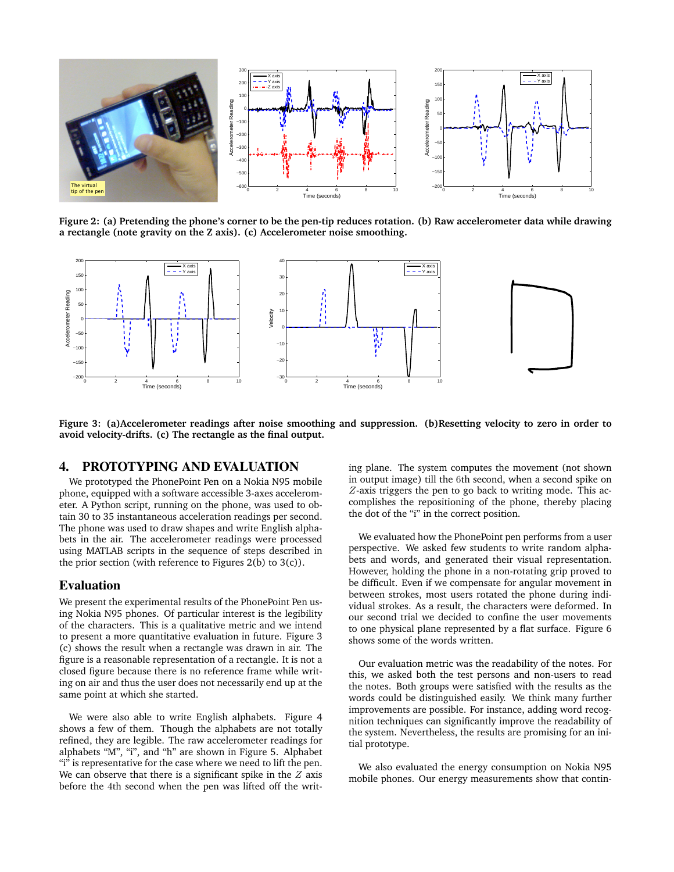

**Figure 2: (a) Pretending the phone's corner to be the pen-tip reduces rotation. (b) Raw accelerometer data while drawing a rectangle (note gravity on the Z axis). (c) Accelerometer noise smoothing.**



**Figure 3: (a)Accelerometer readings after noise smoothing and suppression. (b)Resetting velocity to zero in order to avoid velocity-drifts. (c) The rectangle as the final output.**

#### 4. PROTOTYPING AND EVALUATION

We prototyped the PhonePoint Pen on a Nokia N95 mobile phone, equipped with a software accessible 3-axes accelerometer. A Python script, running on the phone, was used to obtain 30 to 35 instantaneous acceleration readings per second. The phone was used to draw shapes and write English alphabets in the air. The accelerometer readings were processed using MATLAB scripts in the sequence of steps described in the prior section (with reference to Figures  $2(b)$  to  $3(c)$ ).

#### Evaluation

We present the experimental results of the PhonePoint Pen using Nokia N95 phones. Of particular interest is the legibility of the characters. This is a qualitative metric and we intend to present a more quantitative evaluation in future. Figure 3 (c) shows the result when a rectangle was drawn in air. The figure is a reasonable representation of a rectangle. It is not a closed figure because there is no reference frame while writing on air and thus the user does not necessarily end up at the same point at which she started.

We were also able to write English alphabets. Figure 4 shows a few of them. Though the alphabets are not totally refined, they are legible. The raw accelerometer readings for alphabets "M", "i", and "h" are shown in Figure 5. Alphabet "i" is representative for the case where we need to lift the pen. We can observe that there is a significant spike in the  $Z$  axis before the 4th second when the pen was lifted off the writing plane. The system computes the movement (not shown in output image) till the 6th second, when a second spike on Z-axis triggers the pen to go back to writing mode. This accomplishes the repositioning of the phone, thereby placing the dot of the "i" in the correct position.

We evaluated how the PhonePoint pen performs from a user perspective. We asked few students to write random alphabets and words, and generated their visual representation. However, holding the phone in a non-rotating grip proved to be difficult. Even if we compensate for angular movement in between strokes, most users rotated the phone during individual strokes. As a result, the characters were deformed. In our second trial we decided to confine the user movements to one physical plane represented by a flat surface. Figure 6 shows some of the words written.

Our evaluation metric was the readability of the notes. For this, we asked both the test persons and non-users to read the notes. Both groups were satisfied with the results as the words could be distinguished easily. We think many further improvements are possible. For instance, adding word recognition techniques can significantly improve the readability of the system. Nevertheless, the results are promising for an initial prototype.

We also evaluated the energy consumption on Nokia N95 mobile phones. Our energy measurements show that contin-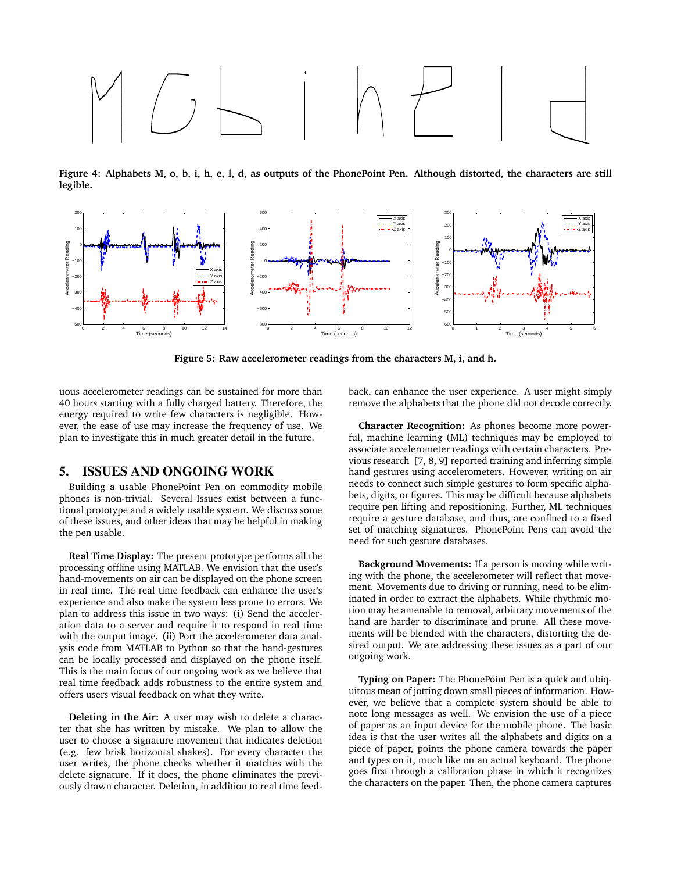

**Figure 4: Alphabets M, o, b, i, h, e, l, d, as outputs of the PhonePoint Pen. Although distorted, the characters are still legible.**



**Figure 5: Raw accelerometer readings from the characters M, i, and h.**

uous accelerometer readings can be sustained for more than 40 hours starting with a fully charged battery. Therefore, the energy required to write few characters is negligible. However, the ease of use may increase the frequency of use. We plan to investigate this in much greater detail in the future.

#### 5. ISSUES AND ONGOING WORK

Building a usable PhonePoint Pen on commodity mobile phones is non-trivial. Several Issues exist between a functional prototype and a widely usable system. We discuss some of these issues, and other ideas that may be helpful in making the pen usable.

**Real Time Display:** The present prototype performs all the processing offline using MATLAB. We envision that the user's hand-movements on air can be displayed on the phone screen in real time. The real time feedback can enhance the user's experience and also make the system less prone to errors. We plan to address this issue in two ways: (i) Send the acceleration data to a server and require it to respond in real time with the output image. (ii) Port the accelerometer data analysis code from MATLAB to Python so that the hand-gestures can be locally processed and displayed on the phone itself. This is the main focus of our ongoing work as we believe that real time feedback adds robustness to the entire system and offers users visual feedback on what they write.

**Deleting in the Air:** A user may wish to delete a character that she has written by mistake. We plan to allow the user to choose a signature movement that indicates deletion (e.g. few brisk horizontal shakes). For every character the user writes, the phone checks whether it matches with the delete signature. If it does, the phone eliminates the previously drawn character. Deletion, in addition to real time feedback, can enhance the user experience. A user might simply remove the alphabets that the phone did not decode correctly.

**Character Recognition:** As phones become more powerful, machine learning (ML) techniques may be employed to associate accelerometer readings with certain characters. Previous research [7, 8, 9] reported training and inferring simple hand gestures using accelerometers. However, writing on air needs to connect such simple gestures to form specific alphabets, digits, or figures. This may be difficult because alphabets require pen lifting and repositioning. Further, ML techniques require a gesture database, and thus, are confined to a fixed set of matching signatures. PhonePoint Pens can avoid the need for such gesture databases.

**Background Movements:** If a person is moving while writing with the phone, the accelerometer will reflect that movement. Movements due to driving or running, need to be eliminated in order to extract the alphabets. While rhythmic motion may be amenable to removal, arbitrary movements of the hand are harder to discriminate and prune. All these movements will be blended with the characters, distorting the desired output. We are addressing these issues as a part of our ongoing work.

**Typing on Paper:** The PhonePoint Pen is a quick and ubiquitous mean of jotting down small pieces of information. However, we believe that a complete system should be able to note long messages as well. We envision the use of a piece of paper as an input device for the mobile phone. The basic idea is that the user writes all the alphabets and digits on a piece of paper, points the phone camera towards the paper and types on it, much like on an actual keyboard. The phone goes first through a calibration phase in which it recognizes the characters on the paper. Then, the phone camera captures